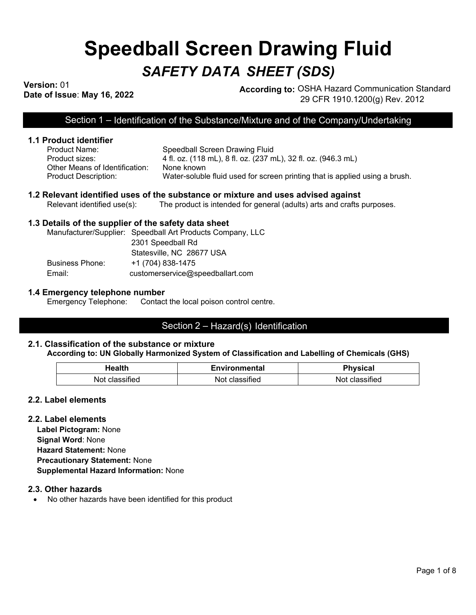# **Speedball Screen Drawing Fluid** *SAFETY DATA SHEET (SDS)*

**Version:** 01

**Dression:** 01<br>Date of Issue: May 16, 2022 **According to:** OSHA Hazard Communication Standard 29 CFR 1910.1200(g) Rev. 2012

Section 1 – Identification of the Substance/Mixture and of the Company/Undertaking

# **1.1 Product identifier**

| Product Name: .                | Speedball Screen Drawing Fluid                                              |
|--------------------------------|-----------------------------------------------------------------------------|
| Product sizes:                 | 4 fl. oz. (118 mL), 8 fl. oz. (237 mL), 32 fl. oz. (946.3 mL)               |
| Other Means of Identification: | None known                                                                  |
| Product Description:           | Water-soluble fluid used for screen printing that is applied using a brush. |

## **1.2 Relevant identified uses of the substance or mixture and uses advised against**

Relevant identified use(s): The product is intended for general (adults) arts and crafts purposes.

## **1.3 Details of the supplier of the safety data sheet**

Manufacturer/Supplier: Speedball Art Products Company, LLC 2301 Speedball Rd Statesville, NC 28677 USA Business Phone: +1 (704) 838-1475 Email: customerservice@speedballart.com

#### **1.4 Emergency telephone number**

Emergency Telephone: Contact the local poison control centre.

# Section 2 – Hazard(s) Identification

# **2.1. Classification of the substance or mixture**

#### **According to: UN Globally Harmonized System of Classification and Labelling of Chemicals (GHS)**

| Health        | <b>Environmental</b> | <b>Physical</b> |
|---------------|----------------------|-----------------|
| Not<br>sitied | Not                  | `sifiea<br>וחוי |

#### **2.2. Label elements**

#### **2.2. Label elements**

**Label Pictogram:** None **Signal Word**: None **Hazard Statement:** None **Precautionary Statement:** None **Supplemental Hazard Information:** None

#### **2.3. Other hazards**

• No other hazards have been identified for this product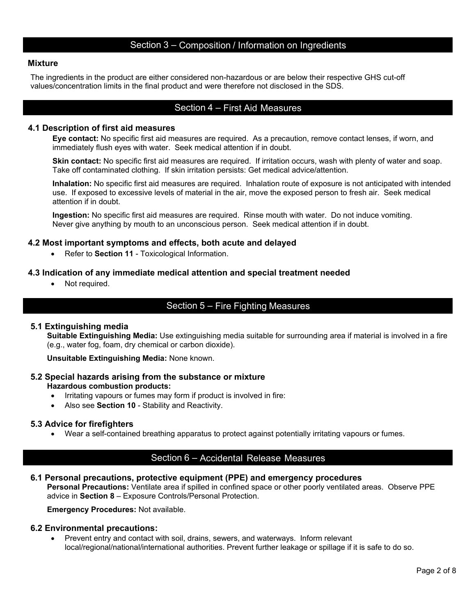# Section 3 – Composition / Information on Ingredients

#### **Mixture**

The ingredients in the product are either considered non-hazardous or are below their respective GHS cut-off values/concentration limits in the final product and were therefore not disclosed in the SDS.

# Section 4 – First Aid Measures

#### **4.1 Description of first aid measures**

**Eye contact:** No specific first aid measures are required. As a precaution, remove contact lenses, if worn, and immediately flush eyes with water. Seek medical attention if in doubt.

**Skin contact:** No specific first aid measures are required. If irritation occurs, wash with plenty of water and soap. Take off contaminated clothing. If skin irritation persists: Get medical advice/attention.

**Inhalation:** No specific first aid measures are required. Inhalation route of exposure is not anticipated with intended use. If exposed to excessive levels of material in the air, move the exposed person to fresh air. Seek medical attention if in doubt.

**Ingestion:** No specific first aid measures are required. Rinse mouth with water. Do not induce vomiting. Never give anything by mouth to an unconscious person. Seek medical attention if in doubt.

# **4.2 Most important symptoms and effects, both acute and delayed**

• Refer to **Section 11** - Toxicological Information.

## **4.3 Indication of any immediate medical attention and special treatment needed**

• Not required.

# Section 5 – Fire Fighting Measures

# **5.1 Extinguishing media**

**Suitable Extinguishing Media:** Use extinguishing media suitable for surrounding area if material is involved in a fire (e.g., water fog, foam, dry chemical or carbon dioxide).

**Unsuitable Extinguishing Media:** None known.

# **5.2 Special hazards arising from the substance or mixture**

## **Hazardous combustion products:**

- Irritating vapours or fumes may form if product is involved in fire:
- Also see **Section 10** Stability and Reactivity.

#### **5.3 Advice for firefighters**

• Wear a self-contained breathing apparatus to protect against potentially irritating vapours or fumes.

# Section 6 – Accidental Release Measures

#### **6.1 Personal precautions, protective equipment (PPE) and emergency procedures**

**Personal Precautions:** Ventilate area if spilled in confined space or other poorly ventilated areas. Observe PPE advice in **Section 8** – Exposure Controls/Personal Protection.

**Emergency Procedures:** Not available.

#### **6.2 Environmental precautions:**

• Prevent entry and contact with soil, drains, sewers, and waterways. Inform relevant local/regional/national/international authorities. Prevent further leakage or spillage if it is safe to do so.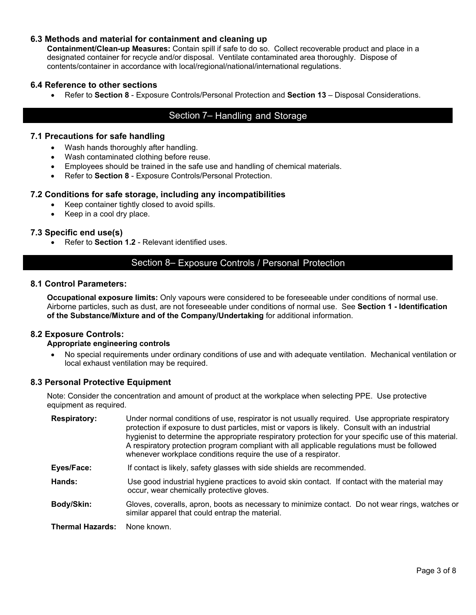# **6.3 Methods and material for containment and cleaning up**

**Containment/Clean-up Measures:** Contain spill if safe to do so. Collect recoverable product and place in a designated container for recycle and/or disposal. Ventilate contaminated area thoroughly. Dispose of contents/container in accordance with local/regional/national/international regulations.

## **6.4 Reference to other sections**

• Refer to **Section 8** - Exposure Controls/Personal Protection and **Section 13** – Disposal Considerations.

# Section 7– Handling and Storage

# **7.1 Precautions for safe handling**

- Wash hands thoroughly after handling.
- Wash contaminated clothing before reuse.
- Employees should be trained in the safe use and handling of chemical materials.
- Refer to **Section 8** Exposure Controls/Personal Protection.

# **7.2 Conditions for safe storage, including any incompatibilities**

- Keep container tightly closed to avoid spills.
- Keep in a cool dry place.

# **7.3 Specific end use(s)**

• Refer to **Section 1.2** - Relevant identified uses.

# Section 8– Exposure Controls / Personal Protection

## **8.1 Control Parameters:**

**Occupational exposure limits:** Only vapours were considered to be foreseeable under conditions of normal use. Airborne particles, such as dust, are not foreseeable under conditions of normal use. See **Section 1 - Identification of the Substance/Mixture and of the Company/Undertaking** for additional information.

# **8.2 Exposure Controls:**

#### **Appropriate engineering controls**

• No special requirements under ordinary conditions of use and with adequate ventilation. Mechanical ventilation or local exhaust ventilation may be required.

#### **8.3 Personal Protective Equipment**

Note: Consider the concentration and amount of product at the workplace when selecting PPE. Use protective equipment as required.

| <b>Respiratory:</b>     | Under normal conditions of use, respirator is not usually required. Use appropriate respiratory<br>protection if exposure to dust particles, mist or vapors is likely. Consult with an industrial<br>hygienist to determine the appropriate respiratory protection for your specific use of this material.<br>A respiratory protection program compliant with all applicable regulations must be followed<br>whenever workplace conditions require the use of a respirator. |
|-------------------------|-----------------------------------------------------------------------------------------------------------------------------------------------------------------------------------------------------------------------------------------------------------------------------------------------------------------------------------------------------------------------------------------------------------------------------------------------------------------------------|
| Eyes/Face:              | If contact is likely, safety glasses with side shields are recommended.                                                                                                                                                                                                                                                                                                                                                                                                     |
| Hands:                  | Use good industrial hygiene practices to avoid skin contact. If contact with the material may<br>occur, wear chemically protective gloves.                                                                                                                                                                                                                                                                                                                                  |
| Body/Skin:              | Gloves, coveralls, apron, boots as necessary to minimize contact. Do not wear rings, watches or<br>similar apparel that could entrap the material.                                                                                                                                                                                                                                                                                                                          |
| <b>Thermal Hazards:</b> | None known.                                                                                                                                                                                                                                                                                                                                                                                                                                                                 |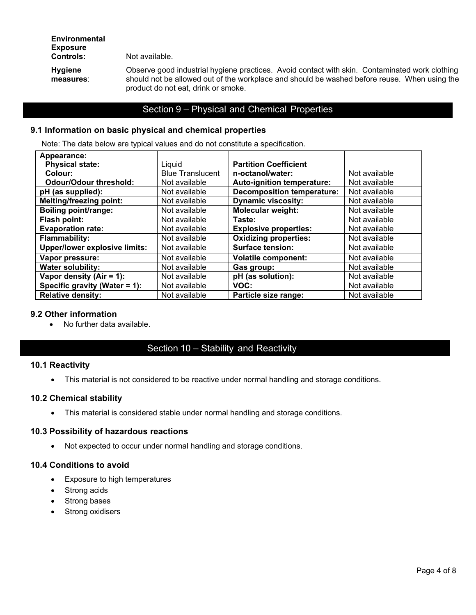Not available.

**Hygiene measures**: Observe good industrial hygiene practices. Avoid contact with skin. Contaminated work clothing should not be allowed out of the workplace and should be washed before reuse. When using the product do not eat, drink or smoke.

# Section 9 – Physical and Chemical Properties

# **9.1 Information on basic physical and chemical properties**

Note: The data below are typical values and do not constitute a specification.

| Appearance:                          |                         |                                   |               |
|--------------------------------------|-------------------------|-----------------------------------|---------------|
| <b>Physical state:</b>               | Liquid                  | <b>Partition Coefficient</b>      |               |
| Colour:                              | <b>Blue Translucent</b> | n-octanol/water:                  | Not available |
| <b>Odour/Odour threshold:</b>        | Not available           | Auto-ignition temperature:        | Not available |
| pH (as supplied):                    | Not available           | <b>Decomposition temperature:</b> | Not available |
| <b>Melting/freezing point:</b>       | Not available           | <b>Dynamic viscosity:</b>         | Not available |
| <b>Boiling point/range:</b>          | Not available           | <b>Molecular weight:</b>          | Not available |
| Flash point:                         | Not available           | Taste:                            | Not available |
| <b>Evaporation rate:</b>             | Not available           | <b>Explosive properties:</b>      | Not available |
| <b>Flammability:</b>                 | Not available           | <b>Oxidizing properties:</b>      | Not available |
| <b>Upper/lower explosive limits:</b> | Not available           | <b>Surface tension:</b>           | Not available |
| Vapor pressure:                      | Not available           | <b>Volatile component:</b>        | Not available |
| <b>Water solubility:</b>             | Not available           | Gas group:                        | Not available |
| Vapor density $(Air = 1)$ :          | Not available           | pH (as solution):                 | Not available |
| Specific gravity (Water = 1):        | Not available           | VOC:                              | Not available |
| <b>Relative density:</b>             | Not available           | Particle size range:              | Not available |

# **9.2 Other information**

• No further data available.

# Section 10 – Stability and Reactivity

# **10.1 Reactivity**

• This material is not considered to be reactive under normal handling and storage conditions.

# **10.2 Chemical stability**

• This material is considered stable under normal handling and storage conditions.

# **10.3 Possibility of hazardous reactions**

• Not expected to occur under normal handling and storage conditions.

# **10.4 Conditions to avoid**

- Exposure to high temperatures
- Strong acids
- Strong bases
- Strong oxidisers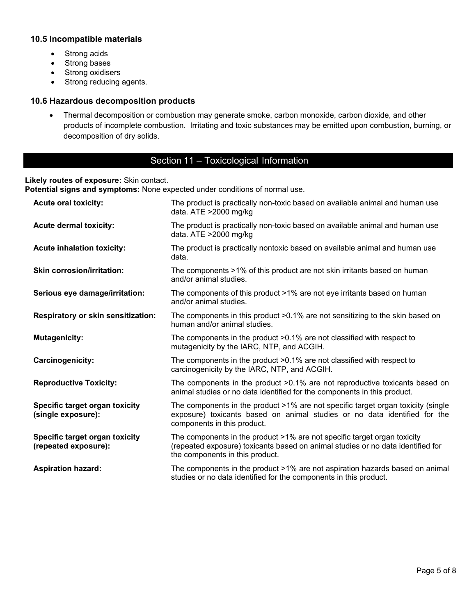# **10.5 Incompatible materials**

- Strong acids
- Strong bases
- Strong oxidisers
- Strong reducing agents.

# **10.6 Hazardous decomposition products**

• Thermal decomposition or combustion may generate smoke, carbon monoxide, carbon dioxide, and other products of incomplete combustion. Irritating and toxic substances may be emitted upon combustion, burning, or decomposition of dry solids.

# Section 11 – Toxicological Information

# **Likely routes of exposure:** Skin contact.

**Potential signs and symptoms:** None expected under conditions of normal use.

| <b>Acute oral toxicity:</b>                            | The product is practically non-toxic based on available animal and human use<br>data. ATE >2000 mg/kg                                                                                           |
|--------------------------------------------------------|-------------------------------------------------------------------------------------------------------------------------------------------------------------------------------------------------|
| <b>Acute dermal toxicity:</b>                          | The product is practically non-toxic based on available animal and human use<br>data. ATE >2000 mg/kg                                                                                           |
| <b>Acute inhalation toxicity:</b>                      | The product is practically nontoxic based on available animal and human use<br>data.                                                                                                            |
| <b>Skin corrosion/irritation:</b>                      | The components >1% of this product are not skin irritants based on human<br>and/or animal studies.                                                                                              |
| Serious eye damage/irritation:                         | The components of this product >1% are not eye irritants based on human<br>and/or animal studies.                                                                                               |
| <b>Respiratory or skin sensitization:</b>              | The components in this product >0.1% are not sensitizing to the skin based on<br>human and/or animal studies.                                                                                   |
| <b>Mutagenicity:</b>                                   | The components in the product >0.1% are not classified with respect to<br>mutagenicity by the IARC, NTP, and ACGIH.                                                                             |
| Carcinogenicity:                                       | The components in the product >0.1% are not classified with respect to<br>carcinogenicity by the IARC, NTP, and ACGIH.                                                                          |
| <b>Reproductive Toxicity:</b>                          | The components in the product >0.1% are not reproductive toxicants based on<br>animal studies or no data identified for the components in this product.                                         |
| Specific target organ toxicity<br>(single exposure):   | The components in the product $>1\%$ are not specific target organ toxicity (single<br>exposure) toxicants based on animal studies or no data identified for the<br>components in this product. |
| Specific target organ toxicity<br>(repeated exposure): | The components in the product >1% are not specific target organ toxicity<br>(repeated exposure) toxicants based on animal studies or no data identified for<br>the components in this product.  |
| <b>Aspiration hazard:</b>                              | The components in the product >1% are not aspiration hazards based on animal<br>studies or no data identified for the components in this product.                                               |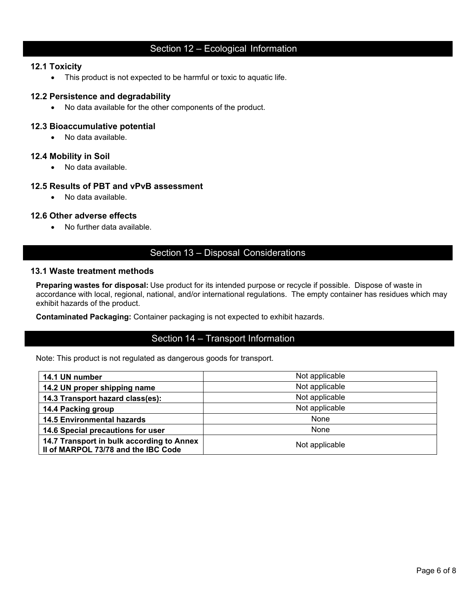# Section 12 – Ecological Information

## **12.1 Toxicity**

• This product is not expected to be harmful or toxic to aquatic life.

## **12.2 Persistence and degradability**

• No data available for the other components of the product.

## **12.3 Bioaccumulative potential**

• No data available.

## **12.4 Mobility in Soil**

• No data available.

# **12.5 Results of PBT and vPvB assessment**

• No data available.

## **12.6 Other adverse effects**

• No further data available.

# Section 13 – Disposal Considerations

## **13.1 Waste treatment methods**

**Preparing wastes for disposal:** Use product for its intended purpose or recycle if possible. Dispose of waste in accordance with local, regional, national, and/or international regulations. The empty container has residues which may exhibit hazards of the product.

**Contaminated Packaging:** Container packaging is not expected to exhibit hazards.

# Section 14 – Transport Information

Note: This product is not regulated as dangerous goods for transport.

| 14.1 UN number                                                                   | Not applicable |
|----------------------------------------------------------------------------------|----------------|
| 14.2 UN proper shipping name                                                     | Not applicable |
| 14.3 Transport hazard class(es):                                                 | Not applicable |
| 14.4 Packing group                                                               | Not applicable |
| <b>14.5 Environmental hazards</b>                                                | None           |
| 14.6 Special precautions for user                                                | None           |
| 14.7 Transport in bulk according to Annex<br>Il of MARPOL 73/78 and the IBC Code | Not applicable |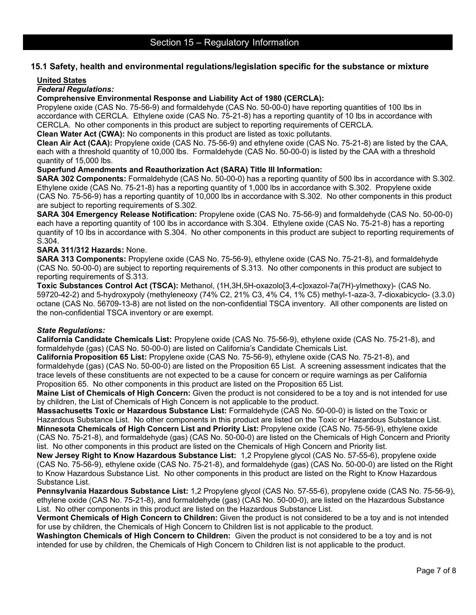# **15.1 Safety, health and environmental regulations/legislation specific for the substance or mixture**

#### **United States**

## *Federal Regulations:*

**Comprehensive Environmental Response and Liability Act of 1980 (CERCLA):**

Propylene oxide (CAS No. 75-56-9) and formaldehyde (CAS No. 50-00-0) have reporting quantities of 100 lbs in accordance with CERCLA. Ethylene oxide (CAS No. 75-21-8) has a reporting quantity of 10 lbs in accordance with CERCLA. No other components in this product are subject to reporting requirements of CERCLA.

**Clean Water Act (CWA):** No components in this product are listed as toxic pollutants.

**Clean Air Act (CAA):** Propylene oxide (CAS No. 75-56-9) and ethylene oxide (CAS No. 75-21-8) are listed by the CAA, each with a threshold quantity of 10,000 lbs. Formaldehyde (CAS No. 50-00-0) is listed by the CAA with a threshold quantity of 15,000 lbs.

**Superfund Amendments and Reauthorization Act (SARA) Title III Information:**

**SARA 302 Components:** Formaldehyde (CAS No. 50-00-0) has a reporting quantity of 500 lbs in accordance with S.302. Ethylene oxide (CAS No. 75-21-8) has a reporting quantity of 1,000 lbs in accordance with S.302. Propylene oxide (CAS No. 75-56-9) has a reporting quantity of 10,000 lbs in accordance with S.302. No other components in this product are subject to reporting requirements of S.302.

**SARA 304 Emergency Release Notification:** Propylene oxide (CAS No. 75-56-9) and formaldehyde (CAS No. 50-00-0) each have a reporting quantity of 100 lbs in accordance with S.304. Ethylene oxide (CAS No. 75-21-8) has a reporting quantity of 10 lbs in accordance with S.304. No other components in this product are subject to reporting requirements of S.304.

#### **SARA 311/312 Hazards:** None.

**SARA 313 Components:** Propylene oxide (CAS No. 75-56-9), ethylene oxide (CAS No. 75-21-8), and formaldehyde (CAS No. 50-00-0) are subject to reporting requirements of S.313. No other components in this product are subject to reporting requirements of S.313.

**Toxic Substances Control Act (TSCA):** Methanol, (1H,3H,5H-oxazolo[3,4-c]oxazol-7a(7H)-ylmethoxy)- (CAS No. 59720-42-2) and 5-hydroxypoly (methyleneoxy (74% C2, 21% C3, 4% C4, 1% C5) methyl-1-aza-3, 7-dioxabicyclo- (3.3.0) octane (CAS No. 56709-13-8) are not listed on the non-confidential TSCA inventory. All other components are listed on the non-confidential TSCA inventory or are exempt.

#### *State Regulations:*

**California Candidate Chemicals List:** Propylene oxide (CAS No. 75-56-9), ethylene oxide (CAS No. 75-21-8), and formaldehyde (gas) (CAS No. 50-00-0) are listed on California's Candidate Chemicals List.

**California Proposition 65 List:** Propylene oxide (CAS No. 75-56-9), ethylene oxide (CAS No. 75-21-8), and formaldehyde (gas) (CAS No. 50-00-0) are listed on the Proposition 65 List. A screening assessment indicates that the trace levels of these constituents are not expected to be a cause for concern or require warnings as per California Proposition 65. No other components in this product are listed on the Proposition 65 List.

**Maine List of Chemicals of High Concern:** Given the product is not considered to be a toy and is not intended for use by children, the List of Chemicals of High Concern is not applicable to the product.

**Massachusetts Toxic or Hazardous Substance List:** Formaldehyde (CAS No. 50-00-0) is listed on the Toxic or Hazardous Substance List. No other components in this product are listed on the Toxic or Hazardous Substance List. **Minnesota Chemicals of High Concern List and Priority List:** Propylene oxide (CAS No. 75-56-9), ethylene oxide (CAS No. 75-21-8), and formaldehyde (gas) (CAS No. 50-00-0) are listed on the Chemicals of High Concern and Priority list. No other components in this product are listed on the Chemicals of High Concern and Priority list.

**New Jersey Right to Know Hazardous Substance List:** 1,2 Propylene glycol (CAS No. 57-55-6), propylene oxide (CAS No. 75-56-9), ethylene oxide (CAS No. 75-21-8), and formaldehyde (gas) (CAS No. 50-00-0) are listed on the Right to Know Hazardous Substance List. No other components in this product are listed on the Right to Know Hazardous Substance List.

**Pennsylvania Hazardous Substance List:** 1,2 Propylene glycol (CAS No. 57-55-6), propylene oxide (CAS No. 75-56-9), ethylene oxide (CAS No. 75-21-8), and formaldehyde (gas) (CAS No. 50-00-0), are listed on the Hazardous Substance List. No other components in this product are listed on the Hazardous Substance List.

**Vermont Chemicals of High Concern to Children:** Given the product is not considered to be a toy and is not intended for use by children, the Chemicals of High Concern to Children list is not applicable to the product.

**Washington Chemicals of High Concern to Children:** Given the product is not considered to be a toy and is not intended for use by children, the Chemicals of High Concern to Children list is not applicable to the product.